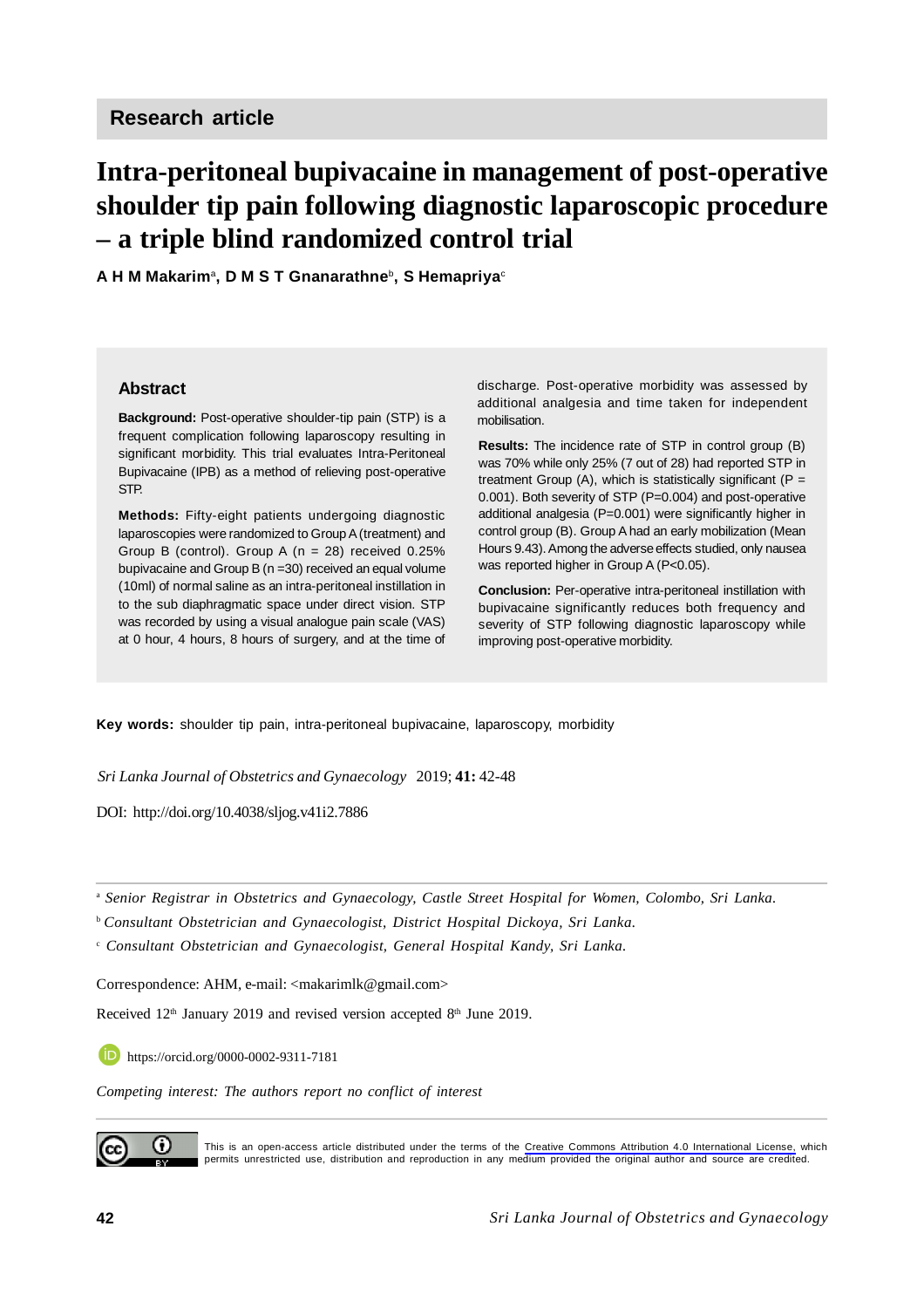# **Intra-peritoneal bupivacaine in management of post-operative shoulder tip pain following diagnostic laparoscopic procedure – a triple blind randomized control trial**

**A H M Makarim**<sup>a</sup> **, D M S T Gnanarathne**<sup>b</sup> **, S Hemapriya**<sup>c</sup>

#### **Abstract**

**Background:** Post-operative shoulder-tip pain (STP) is a frequent complication following laparoscopy resulting in significant morbidity. This trial evaluates Intra-Peritoneal Bupivacaine (IPB) as a method of relieving post-operative STP.

**Methods:** Fifty-eight patients undergoing diagnostic laparoscopies were randomized to Group A (treatment) and Group B (control). Group A (n = 28) received 0.25% bupivacaine and Group B (n =30) received an equal volume (10ml) of normal saline as an intra-peritoneal instillation in to the sub diaphragmatic space under direct vision. STP was recorded by using a visual analogue pain scale (VAS) at 0 hour, 4 hours, 8 hours of surgery, and at the time of

discharge. Post-operative morbidity was assessed by additional analgesia and time taken for independent mobilisation.

**Results:** The incidence rate of STP in control group (B) was 70% while only 25% (7 out of 28) had reported STP in treatment Group (A), which is statistically significant ( $P =$ 0.001). Both severity of STP (P=0.004) and post-operative additional analgesia (P=0.001) were significantly higher in control group (B). Group A had an early mobilization (Mean Hours 9.43). Among the adverse effects studied, only nausea was reported higher in Group A (P<0.05).

**Conclusion:** Per-operative intra-peritoneal instillation with bupivacaine significantly reduces both frequency and severity of STP following diagnostic laparoscopy while improving post-operative morbidity.

**Key words:** shoulder tip pain, intra-peritoneal bupivacaine, laparoscopy, morbidity

*Sri Lanka Journal of Obstetrics and Gynaecology* 2019; **41:** 42-48

DOI: <http://doi.org/10.4038/sljog.v41i2.7886>

<sup>a</sup> *Senior Registrar in Obstetrics and Gynaecology, Castle Street Hospital for Women, Colombo, Sri Lanka.*

<sup>b</sup>*Consultant Obstetrician and Gynaecologist, District Hospital Dickoya, Sri Lanka.*

c  *Consultant Obstetrician and Gynaecologist, General Hospital Kandy, Sri Lanka.*

Correspondence: AHM, e-mail: [<makarimlk@gmail.com](mailto:makarimlk@gmail.com)>

Received  $12<sup>th</sup>$  January 2019 and revised version accepted  $8<sup>th</sup>$  June 2019.

h https://orcid.org/0000-0002-9311-7181

*Competing interest: The authors report no conflict of interest*



This is an open-access article distributed under the terms of the [Creative Commons Attribution 4.0 International License,](https://creativecommons.org/licenses/by/4.0/) which permits unrestricted use, distribution and reproduction in any medium provided the original author and source are credited.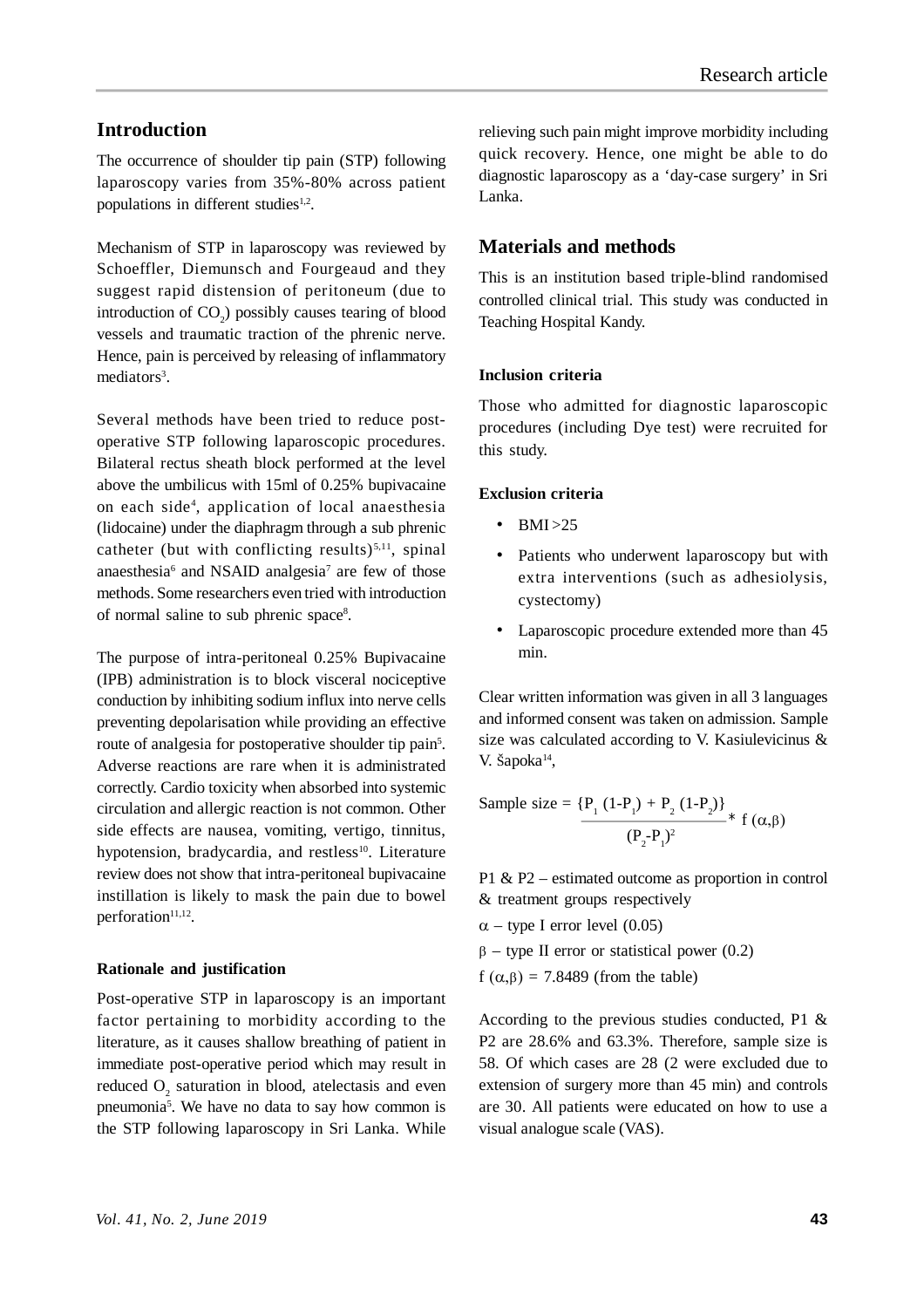## **Introduction**

The occurrence of shoulder tip pain (STP) following laparoscopy varies from 35%-80% across patient populations in different studies $1,2$ .

Mechanism of STP in laparoscopy was reviewed by Schoeffler, Diemunsch and Fourgeaud and they suggest rapid distension of peritoneum (due to introduction of  $CO<sub>2</sub>$ ) possibly causes tearing of blood vessels and traumatic traction of the phrenic nerve. Hence, pain is perceived by releasing of inflammatory mediators<sup>3</sup>.

Several methods have been tried to reduce postoperative STP following laparoscopic procedures. Bilateral rectus sheath block performed at the level above the umbilicus with 15ml of 0.25% bupivacaine on each side<sup>4</sup> , application of local anaesthesia (lidocaine) under the diaphragm through a sub phrenic catheter (but with conflicting results) $5,11$ , spinal anaesthesia<sup>6</sup> and NSAID analgesia<sup>7</sup> are few of those methods. Some researchers even tried with introduction of normal saline to sub phrenic space<sup>8</sup>.

The purpose of intra-peritoneal 0.25% Bupivacaine (IPB) administration is to block visceral nociceptive conduction by inhibiting sodium influx into nerve cells preventing depolarisation while providing an effective route of analgesia for postoperative shoulder tip pain<sup>5</sup>. Adverse reactions are rare when it is administrated correctly. Cardio toxicity when absorbed into systemic circulation and allergic reaction is not common. Other side effects are nausea, vomiting, vertigo, tinnitus, hypotension, bradycardia, and restless<sup>10</sup>. Literature review does not show that intra-peritoneal bupivacaine instillation is likely to mask the pain due to bowel perforation<sup>11,12</sup>.

#### **Rationale and justification**

Post-operative STP in laparoscopy is an important factor pertaining to morbidity according to the literature, as it causes shallow breathing of patient in immediate post-operative period which may result in reduced  $O_2$  saturation in blood, atelectasis and even pneumonia<sup>5</sup>. We have no data to say how common is the STP following laparoscopy in Sri Lanka. While

relieving such pain might improve morbidity including quick recovery. Hence, one might be able to do diagnostic laparoscopy as a 'day-case surgery' in Sri Lanka.

## **Materials and methods**

This is an institution based triple-blind randomised controlled clinical trial. This study was conducted in Teaching Hospital Kandy.

## **Inclusion criteria**

Those who admitted for diagnostic laparoscopic procedures (including Dye test) were recruited for this study.

## **Exclusion criteria**

- $\cdot$  BMI  $>25$
- Patients who underwent laparoscopy but with extra interventions (such as adhesiolysis, cystectomy)
- Laparoscopic procedure extended more than 45 min.

Clear written information was given in all 3 languages and informed consent was taken on admission. Sample size was calculated according to V. Kasiulevicinus & V. Šapoka<sup>14</sup>,

Sample size = 
$$
\frac{\{P_1 (1-P_1) + P_2 (1-P_2)\}}{(P_2-P_1)^2} * f(\alpha, \beta)
$$

P1 & P2 – estimated outcome as proportion in control & treatment groups respectively

- $\alpha$  type I error level (0.05)
- $\beta$  type II error or statistical power (0.2)
- $f(\alpha, \beta) = 7.8489$  (from the table)

According to the previous studies conducted, P1 & P2 are 28.6% and 63.3%. Therefore, sample size is 58. Of which cases are 28 (2 were excluded due to extension of surgery more than 45 min) and controls are 30. All patients were educated on how to use a visual analogue scale (VAS).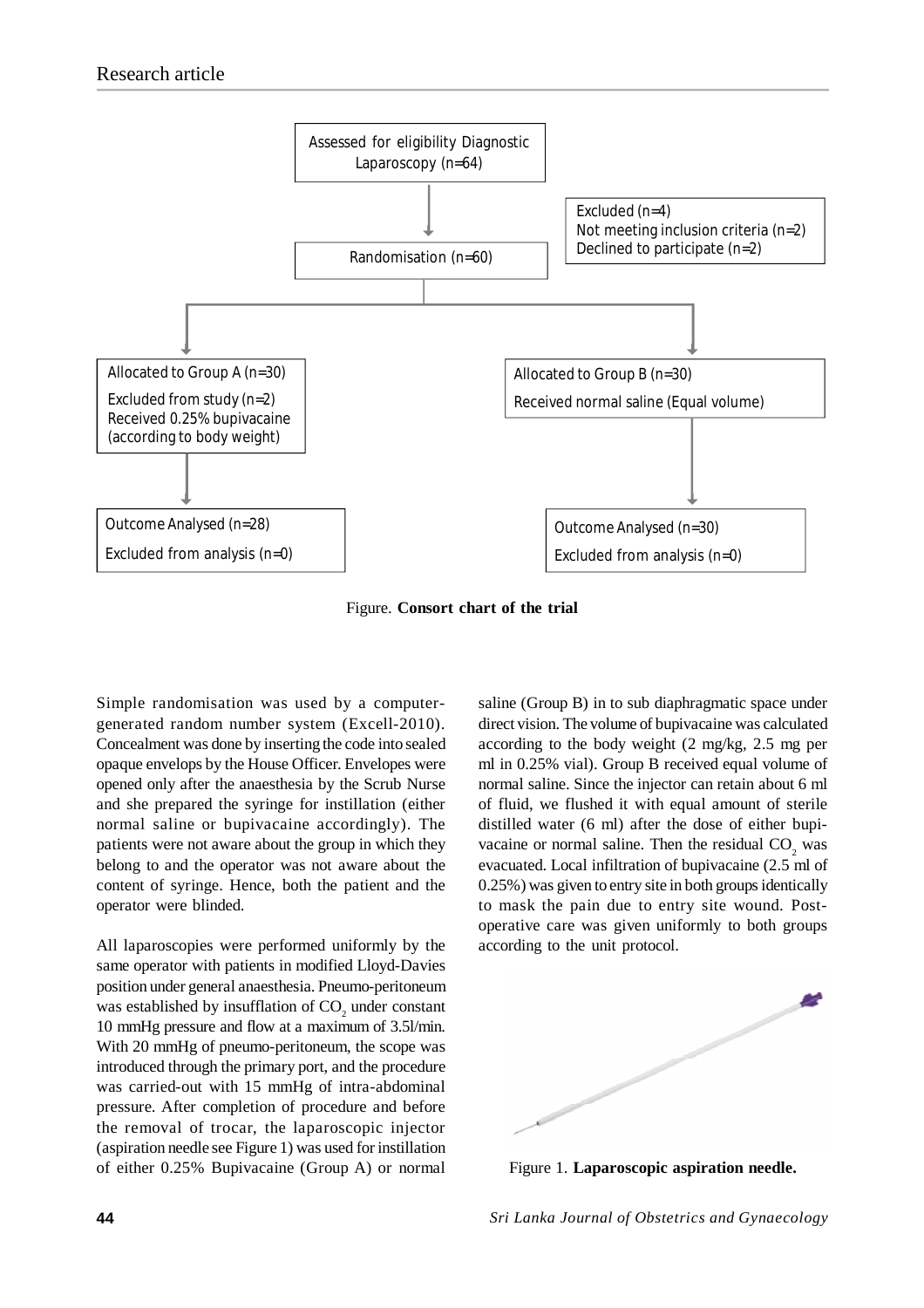

Figure. **Consort chart of the trial**

Simple randomisation was used by a computergenerated random number system (Excell-2010). Concealment was done by inserting the code into sealed opaque envelops by the House Officer. Envelopes were opened only after the anaesthesia by the Scrub Nurse and she prepared the syringe for instillation (either normal saline or bupivacaine accordingly). The patients were not aware about the group in which they belong to and the operator was not aware about the content of syringe. Hence, both the patient and the operator were blinded.

All laparoscopies were performed uniformly by the same operator with patients in modified Lloyd-Davies position under general anaesthesia. Pneumo-peritoneum was established by insufflation of  $CO<sub>2</sub>$  under constant 10 mmHg pressure and flow at a maximum of 3.5l/min. With 20 mmHg of pneumo-peritoneum, the scope was introduced through the primary port, and the procedure was carried-out with 15 mmHg of intra-abdominal pressure. After completion of procedure and before the removal of trocar, the laparoscopic injector (aspiration needle see Figure 1) was used for instillation of either 0.25% Bupivacaine (Group A) or normal saline (Group B) in to sub diaphragmatic space under direct vision. The volume of bupivacaine was calculated according to the body weight (2 mg/kg, 2.5 mg per ml in 0.25% vial). Group B received equal volume of normal saline. Since the injector can retain about 6 ml of fluid, we flushed it with equal amount of sterile distilled water (6 ml) after the dose of either bupivacaine or normal saline. Then the residual  $CO_2$  was evacuated. Local infiltration of bupivacaine (2.5 ml of 0.25%) was given to entry site in both groups identically to mask the pain due to entry site wound. Postoperative care was given uniformly to both groups according to the unit protocol.



Figure 1. **Laparoscopic aspiration needle.**

**44** *Sri Lanka Journal of Obstetrics and Gynaecology*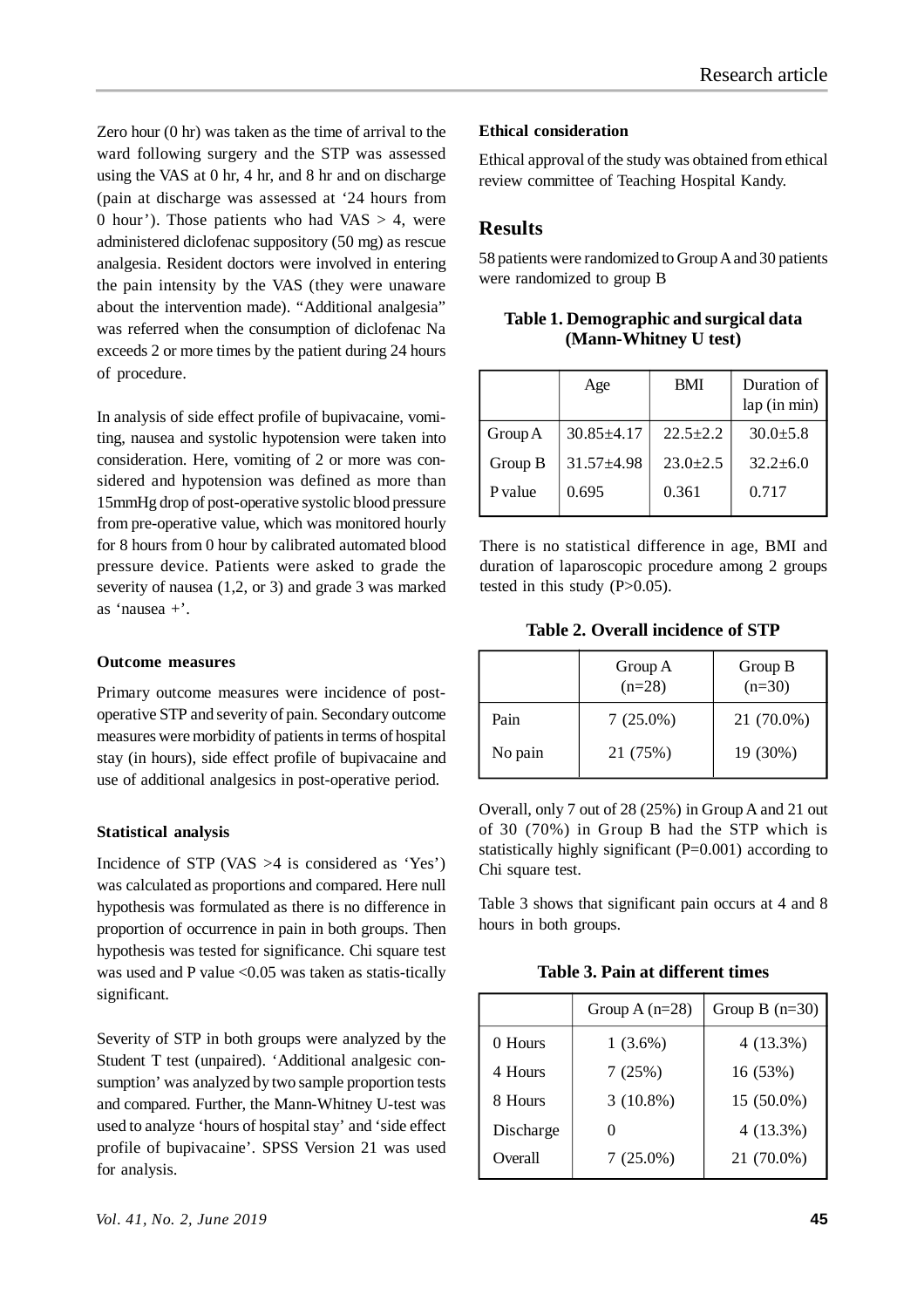Zero hour (0 hr) was taken as the time of arrival to the ward following surgery and the STP was assessed using the VAS at 0 hr, 4 hr, and 8 hr and on discharge (pain at discharge was assessed at '24 hours from 0 hour'). Those patients who had  $VAS > 4$ , were administered diclofenac suppository (50 mg) as rescue analgesia. Resident doctors were involved in entering the pain intensity by the VAS (they were unaware about the intervention made). "Additional analgesia" was referred when the consumption of diclofenac Na exceeds 2 or more times by the patient during 24 hours of procedure.

In analysis of side effect profile of bupivacaine, vomiting, nausea and systolic hypotension were taken into consideration. Here, vomiting of 2 or more was considered and hypotension was defined as more than 15mmHg drop of post-operative systolic blood pressure from pre-operative value, which was monitored hourly for 8 hours from 0 hour by calibrated automated blood pressure device. Patients were asked to grade the severity of nausea (1,2, or 3) and grade 3 was marked as 'nausea +'.

## **Outcome measures**

Primary outcome measures were incidence of postoperative STP and severity of pain. Secondary outcome measures were morbidity of patients in terms of hospital stay (in hours), side effect profile of bupivacaine and use of additional analgesics in post-operative period.

## **Statistical analysis**

Incidence of STP (VAS >4 is considered as 'Yes') was calculated as proportions and compared. Here null hypothesis was formulated as there is no difference in proportion of occurrence in pain in both groups. Then hypothesis was tested for significance. Chi square test was used and P value <0.05 was taken as statis-tically significant.

Severity of STP in both groups were analyzed by the Student T test (unpaired). 'Additional analgesic consumption' was analyzed by two sample proportion tests and compared. Further, the Mann-Whitney U-test was used to analyze 'hours of hospital stay' and 'side effect profile of bupivacaine'. SPSS Version 21 was used for analysis.

## **Ethical consideration**

Ethical approval of the study was obtained from ethical review committee of Teaching Hospital Kandy.

# **Results**

58 patients were randomized to Group A and 30 patients were randomized to group B

**Table 1. Demographic and surgical data (Mann-Whitney U test)**

|         | Age              | <b>BMI</b>   | Duration of<br>lap (in min) |
|---------|------------------|--------------|-----------------------------|
| Group A | $30.85 \pm 4.17$ | $22.5 + 2.2$ | $30.0 \pm 5.8$              |
| Group B | $31.57 + 4.98$   | $23.0+2.5$   | $32.2 \pm 6.0$              |
| P value | 0.695            | 0.361        | 0.717                       |

There is no statistical difference in age, BMI and duration of laparoscopic procedure among 2 groups tested in this study  $(P>0.05)$ .

**Table 2. Overall incidence of STP**

|         | Group A<br>$(n=28)$ | Group B<br>$(n=30)$ |
|---------|---------------------|---------------------|
| Pain    | $7(25.0\%)$         | 21 (70.0%)          |
| No pain | 21 (75%)            | 19 (30%)            |

Overall, only 7 out of 28 (25%) in Group A and 21 out of 30 (70%) in Group B had the STP which is statistically highly significant (P=0.001) according to Chi square test.

Table 3 shows that significant pain occurs at 4 and 8 hours in both groups.

**Table 3. Pain at different times**

|           | Group A $(n=28)$  | Group B $(n=30)$ |
|-----------|-------------------|------------------|
| 0 Hours   | $1(3.6\%)$        | 4(13.3%)         |
| 4 Hours   | 7(25%)            | 16 (53%)         |
| 8 Hours   | $3(10.8\%)$       | 15 (50.0%)       |
| Discharge | $\mathbf{\Omega}$ | 4(13.3%)         |
| Overall   | $7(25.0\%)$       | 21 (70.0%)       |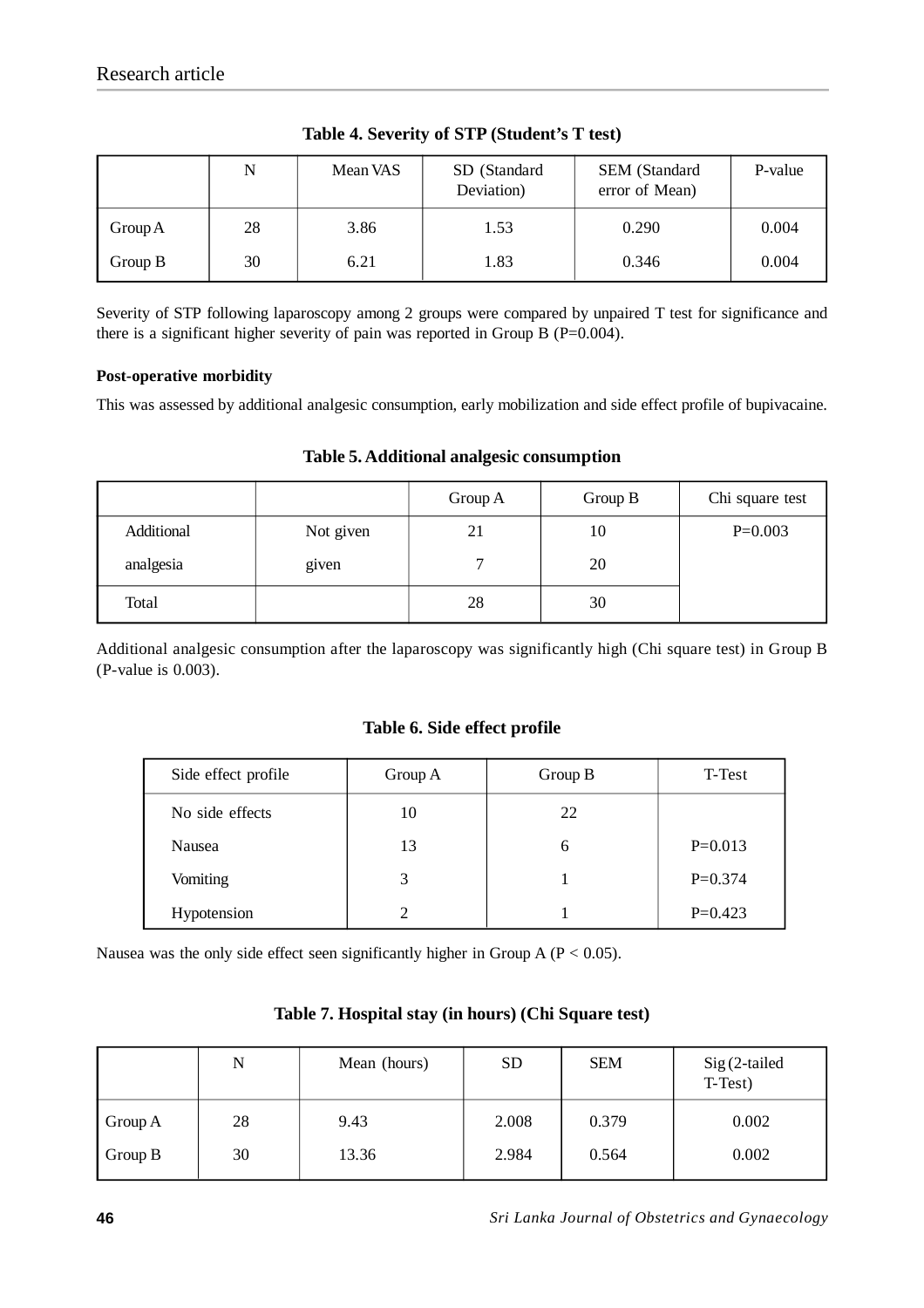|           | N  | Mean VAS | SD (Standard<br>Deviation) | SEM (Standard<br>error of Mean) | P-value |
|-----------|----|----------|----------------------------|---------------------------------|---------|
| Group A   | 28 | 3.86     | 1.53                       | 0.290                           | 0.004   |
| Group $B$ | 30 | 6.21     | 1.83                       | 0.346                           | 0.004   |

**Table 4. Severity of STP (Student's T test)**

Severity of STP following laparoscopy among 2 groups were compared by unpaired T test for significance and there is a significant higher severity of pain was reported in Group B ( $P=0.004$ ).

## **Post-operative morbidity**

This was assessed by additional analgesic consumption, early mobilization and side effect profile of bupivacaine.

|            |           | Group A | Group B | Chi square test |
|------------|-----------|---------|---------|-----------------|
| Additional | Not given | 21      | 10      | $P=0.003$       |
| analgesia  | given     |         | 20      |                 |
| Total      |           | 28      | 30      |                 |

## **Table 5. Additional analgesic consumption**

Additional analgesic consumption after the laparoscopy was significantly high (Chi square test) in Group B (P-value is 0.003).

## **Table 6. Side effect profile**

| Side effect profile | Group A | Group B | T-Test    |
|---------------------|---------|---------|-----------|
| No side effects     | 10      | 22      |           |
| Nausea              | 13      | 6       | $P=0.013$ |
| Vomiting            | 3       |         | $P=0.374$ |
| Hypotension         | 2       |         | $P=0.423$ |

Nausea was the only side effect seen significantly higher in Group  $A (P < 0.05)$ .

## **Table 7. Hospital stay (in hours) (Chi Square test)**

|         | N  | Mean (hours) | <b>SD</b> | <b>SEM</b> | $Sig(2-tailed)$<br>T-Test) |
|---------|----|--------------|-----------|------------|----------------------------|
| Group A | 28 | 9.43         | 2.008     | 0.379      | 0.002                      |
| Group B | 30 | 13.36        | 2.984     | 0.564      | 0.002                      |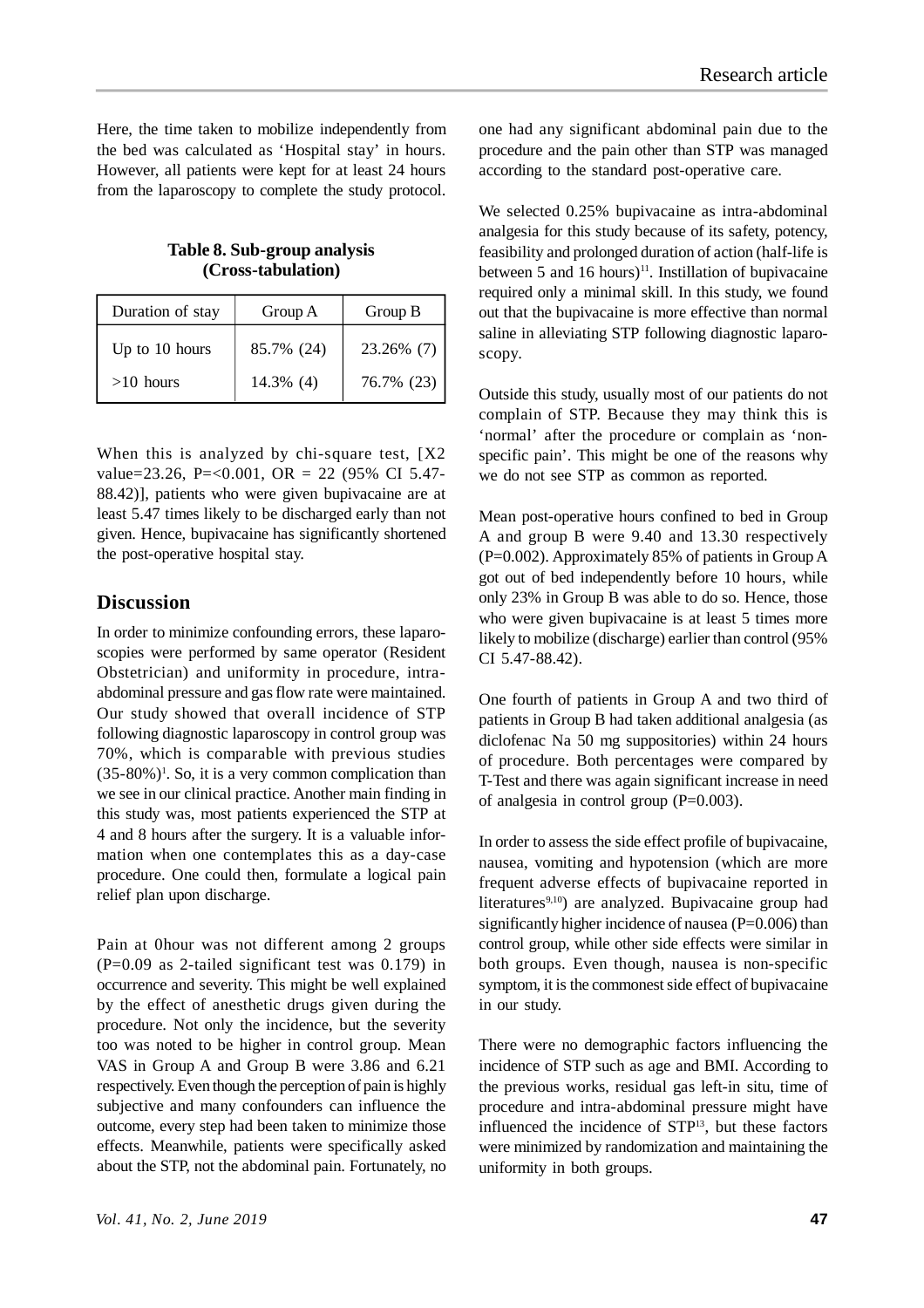Here, the time taken to mobilize independently from the bed was calculated as 'Hospital stay' in hours. However, all patients were kept for at least 24 hours from the laparoscopy to complete the study protocol.

**Table 8. Sub-group analysis (Cross-tabulation)**

| Duration of stay | Group A    | Group B    |  |
|------------------|------------|------------|--|
| Up to 10 hours   | 85.7% (24) | 23.26% (7) |  |
| $>10$ hours      | 14.3% (4)  | 76.7% (23) |  |

When this is analyzed by chi-square test, [X2] value=23.26, P=<0.001, OR = 22 (95% CI 5.47- 88.42)], patients who were given bupivacaine are at least 5.47 times likely to be discharged early than not given. Hence, bupivacaine has significantly shortened the post-operative hospital stay.

## **Discussion**

In order to minimize confounding errors, these laparoscopies were performed by same operator (Resident Obstetrician) and uniformity in procedure, intraabdominal pressure and gas flow rate were maintained. Our study showed that overall incidence of STP following diagnostic laparoscopy in control group was 70%, which is comparable with previous studies  $(35-80\%)$ <sup>1</sup>. So, it is a very common complication than we see in our clinical practice. Another main finding in this study was, most patients experienced the STP at 4 and 8 hours after the surgery. It is a valuable information when one contemplates this as a day-case procedure. One could then, formulate a logical pain relief plan upon discharge.

Pain at 0hour was not different among 2 groups (P=0.09 as 2-tailed significant test was 0.179) in occurrence and severity. This might be well explained by the effect of anesthetic drugs given during the procedure. Not only the incidence, but the severity too was noted to be higher in control group. Mean VAS in Group A and Group B were 3.86 and 6.21 respectively. Even though the perception of pain is highly subjective and many confounders can influence the outcome, every step had been taken to minimize those effects. Meanwhile, patients were specifically asked about the STP, not the abdominal pain. Fortunately, no one had any significant abdominal pain due to the procedure and the pain other than STP was managed according to the standard post-operative care.

We selected 0.25% bupivacaine as intra-abdominal analgesia for this study because of its safety, potency, feasibility and prolonged duration of action (half-life is between 5 and 16 hours)<sup>11</sup>. Instillation of bupivacaine required only a minimal skill. In this study, we found out that the bupivacaine is more effective than normal saline in alleviating STP following diagnostic laparoscopy.

Outside this study, usually most of our patients do not complain of STP. Because they may think this is 'normal' after the procedure or complain as 'nonspecific pain'. This might be one of the reasons why we do not see STP as common as reported.

Mean post-operative hours confined to bed in Group A and group B were 9.40 and 13.30 respectively (P=0.002). Approximately 85% of patients in Group A got out of bed independently before 10 hours, while only 23% in Group B was able to do so. Hence, those who were given bupivacaine is at least 5 times more likely to mobilize (discharge) earlier than control (95% CI 5.47-88.42).

One fourth of patients in Group A and two third of patients in Group B had taken additional analgesia (as diclofenac Na 50 mg suppositories) within 24 hours of procedure. Both percentages were compared by T-Test and there was again significant increase in need of analgesia in control group (P=0.003).

In order to assess the side effect profile of bupivacaine, nausea, vomiting and hypotension (which are more frequent adverse effects of bupivacaine reported in literatures<sup>9,10</sup>) are analyzed. Bupivacaine group had significantly higher incidence of nausea (P=0.006) than control group, while other side effects were similar in both groups. Even though, nausea is non-specific symptom, it is the commonest side effect of bupivacaine in our study.

There were no demographic factors influencing the incidence of STP such as age and BMI. According to the previous works, residual gas left-in situ, time of procedure and intra-abdominal pressure might have influenced the incidence of STP<sup>13</sup>, but these factors were minimized by randomization and maintaining the uniformity in both groups.